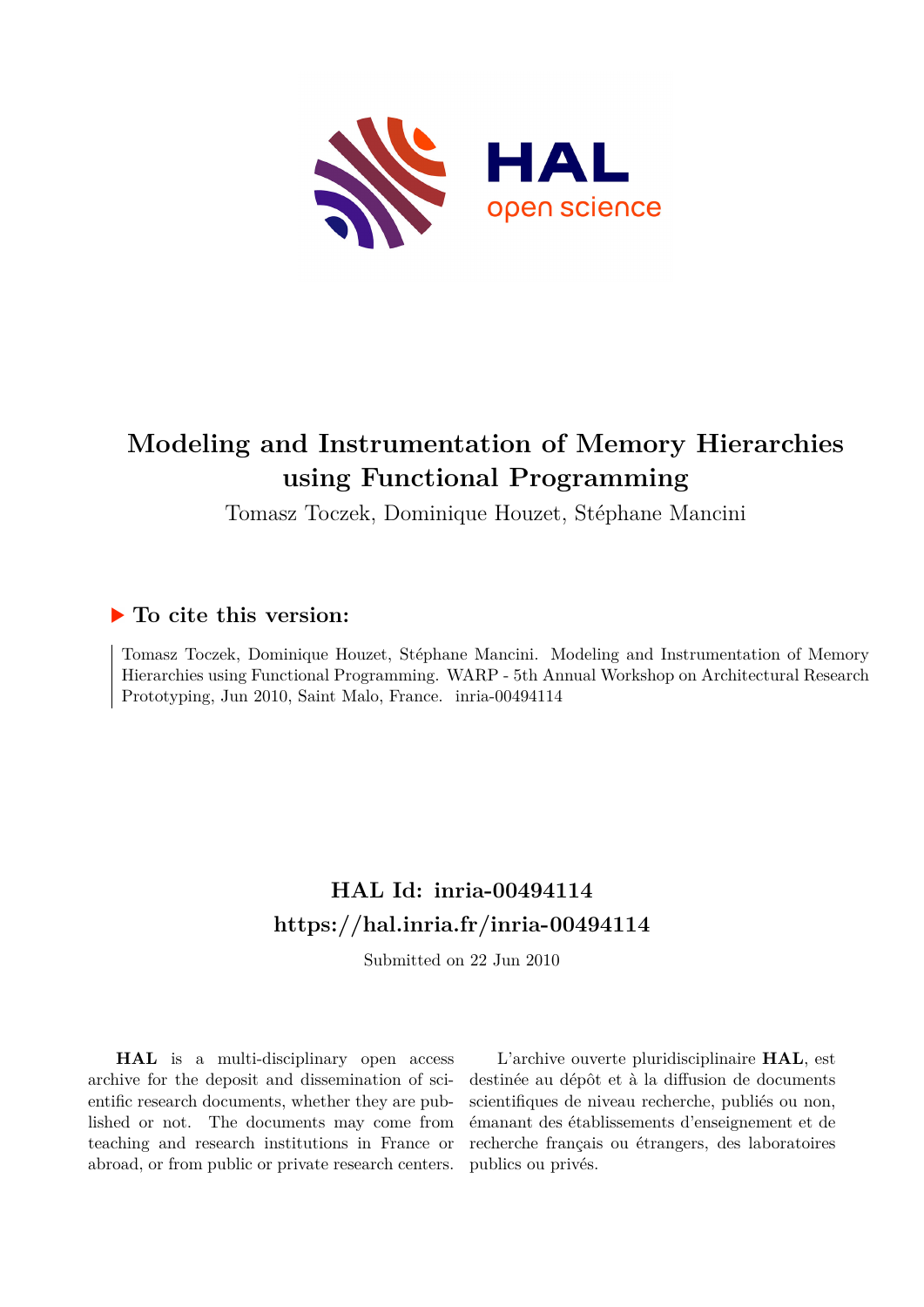

## **Modeling and Instrumentation of Memory Hierarchies using Functional Programming**

Tomasz Toczek, Dominique Houzet, Stéphane Mancini

### **To cite this version:**

Tomasz Toczek, Dominique Houzet, Stéphane Mancini. Modeling and Instrumentation of Memory Hierarchies using Functional Programming. WARP - 5th Annual Workshop on Architectural Research Prototyping, Jun 2010, Saint Malo, France. inria-00494114

## **HAL Id: inria-00494114 <https://hal.inria.fr/inria-00494114>**

Submitted on 22 Jun 2010

**HAL** is a multi-disciplinary open access archive for the deposit and dissemination of scientific research documents, whether they are published or not. The documents may come from teaching and research institutions in France or abroad, or from public or private research centers.

L'archive ouverte pluridisciplinaire **HAL**, est destinée au dépôt et à la diffusion de documents scientifiques de niveau recherche, publiés ou non, émanant des établissements d'enseignement et de recherche français ou étrangers, des laboratoires publics ou privés.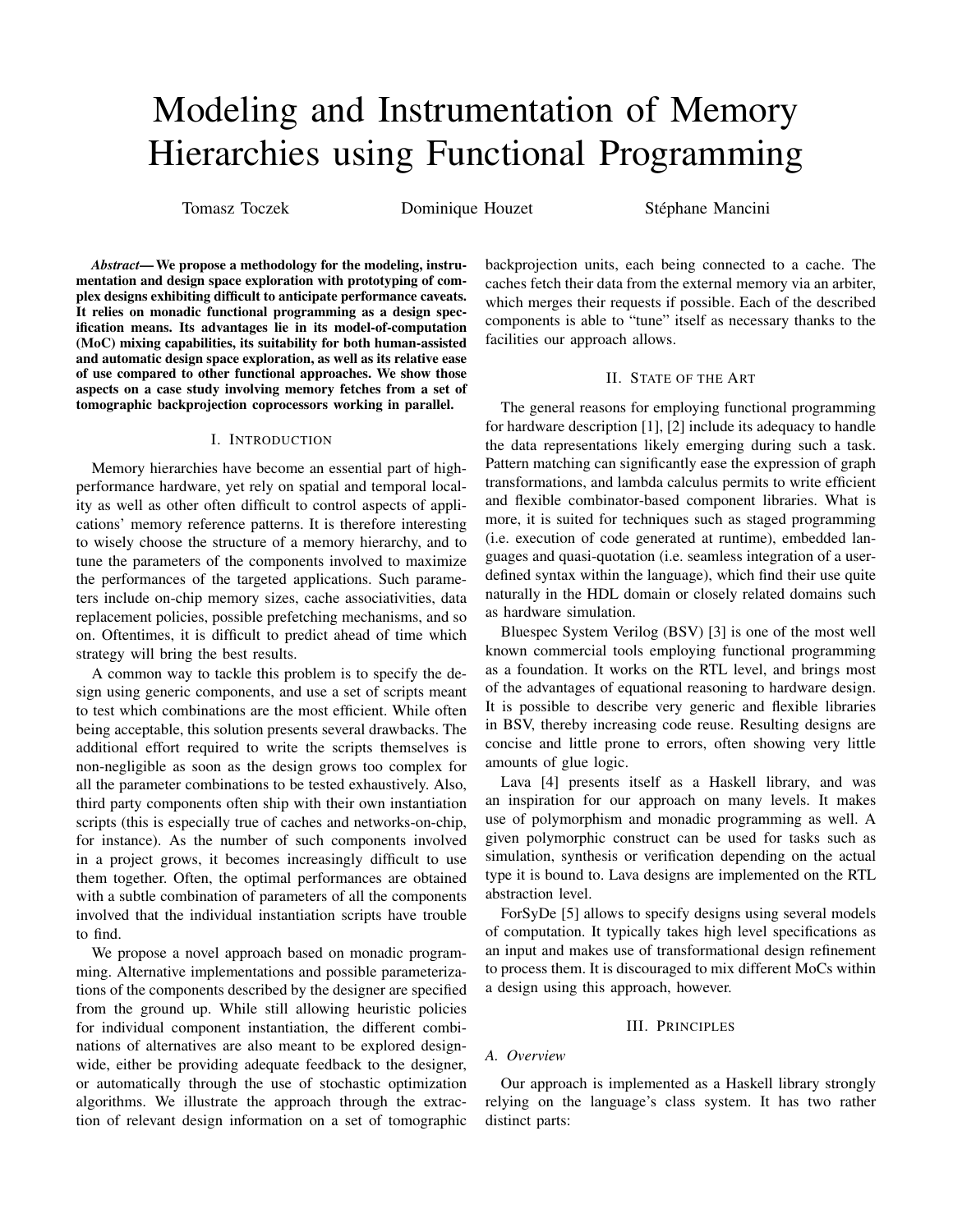# Modeling and Instrumentation of Memory Hierarchies using Functional Programming

Tomasz Toczek **Dominique Houzet Stéphane Mancini** 

*Abstract*— We propose a methodology for the modeling, instrumentation and design space exploration with prototyping of complex designs exhibiting difficult to anticipate performance caveats. It relies on monadic functional programming as a design specification means. Its advantages lie in its model-of-computation (MoC) mixing capabilities, its suitability for both human-assisted and automatic design space exploration, as well as its relative ease of use compared to other functional approaches. We show those aspects on a case study involving memory fetches from a set of tomographic backprojection coprocessors working in parallel.

#### I. INTRODUCTION

Memory hierarchies have become an essential part of highperformance hardware, yet rely on spatial and temporal locality as well as other often difficult to control aspects of applications' memory reference patterns. It is therefore interesting to wisely choose the structure of a memory hierarchy, and to tune the parameters of the components involved to maximize the performances of the targeted applications. Such parameters include on-chip memory sizes, cache associativities, data replacement policies, possible prefetching mechanisms, and so on. Oftentimes, it is difficult to predict ahead of time which strategy will bring the best results.

A common way to tackle this problem is to specify the design using generic components, and use a set of scripts meant to test which combinations are the most efficient. While often being acceptable, this solution presents several drawbacks. The additional effort required to write the scripts themselves is non-negligible as soon as the design grows too complex for all the parameter combinations to be tested exhaustively. Also, third party components often ship with their own instantiation scripts (this is especially true of caches and networks-on-chip, for instance). As the number of such components involved in a project grows, it becomes increasingly difficult to use them together. Often, the optimal performances are obtained with a subtle combination of parameters of all the components involved that the individual instantiation scripts have trouble to find.

We propose a novel approach based on monadic programming. Alternative implementations and possible parameterizations of the components described by the designer are specified from the ground up. While still allowing heuristic policies for individual component instantiation, the different combinations of alternatives are also meant to be explored designwide, either be providing adequate feedback to the designer, or automatically through the use of stochastic optimization algorithms. We illustrate the approach through the extraction of relevant design information on a set of tomographic backprojection units, each being connected to a cache. The caches fetch their data from the external memory via an arbiter, which merges their requests if possible. Each of the described components is able to "tune" itself as necessary thanks to the facilities our approach allows.

#### II. STATE OF THE ART

The general reasons for employing functional programming for hardware description [1], [2] include its adequacy to handle the data representations likely emerging during such a task. Pattern matching can significantly ease the expression of graph transformations, and lambda calculus permits to write efficient and flexible combinator-based component libraries. What is more, it is suited for techniques such as staged programming (i.e. execution of code generated at runtime), embedded languages and quasi-quotation (i.e. seamless integration of a userdefined syntax within the language), which find their use quite naturally in the HDL domain or closely related domains such as hardware simulation.

Bluespec System Verilog (BSV) [3] is one of the most well known commercial tools employing functional programming as a foundation. It works on the RTL level, and brings most of the advantages of equational reasoning to hardware design. It is possible to describe very generic and flexible libraries in BSV, thereby increasing code reuse. Resulting designs are concise and little prone to errors, often showing very little amounts of glue logic.

Lava [4] presents itself as a Haskell library, and was an inspiration for our approach on many levels. It makes use of polymorphism and monadic programming as well. A given polymorphic construct can be used for tasks such as simulation, synthesis or verification depending on the actual type it is bound to. Lava designs are implemented on the RTL abstraction level.

ForSyDe [5] allows to specify designs using several models of computation. It typically takes high level specifications as an input and makes use of transformational design refinement to process them. It is discouraged to mix different MoCs within a design using this approach, however.

#### III. PRINCIPLES

#### *A. Overview*

Our approach is implemented as a Haskell library strongly relying on the language's class system. It has two rather distinct parts: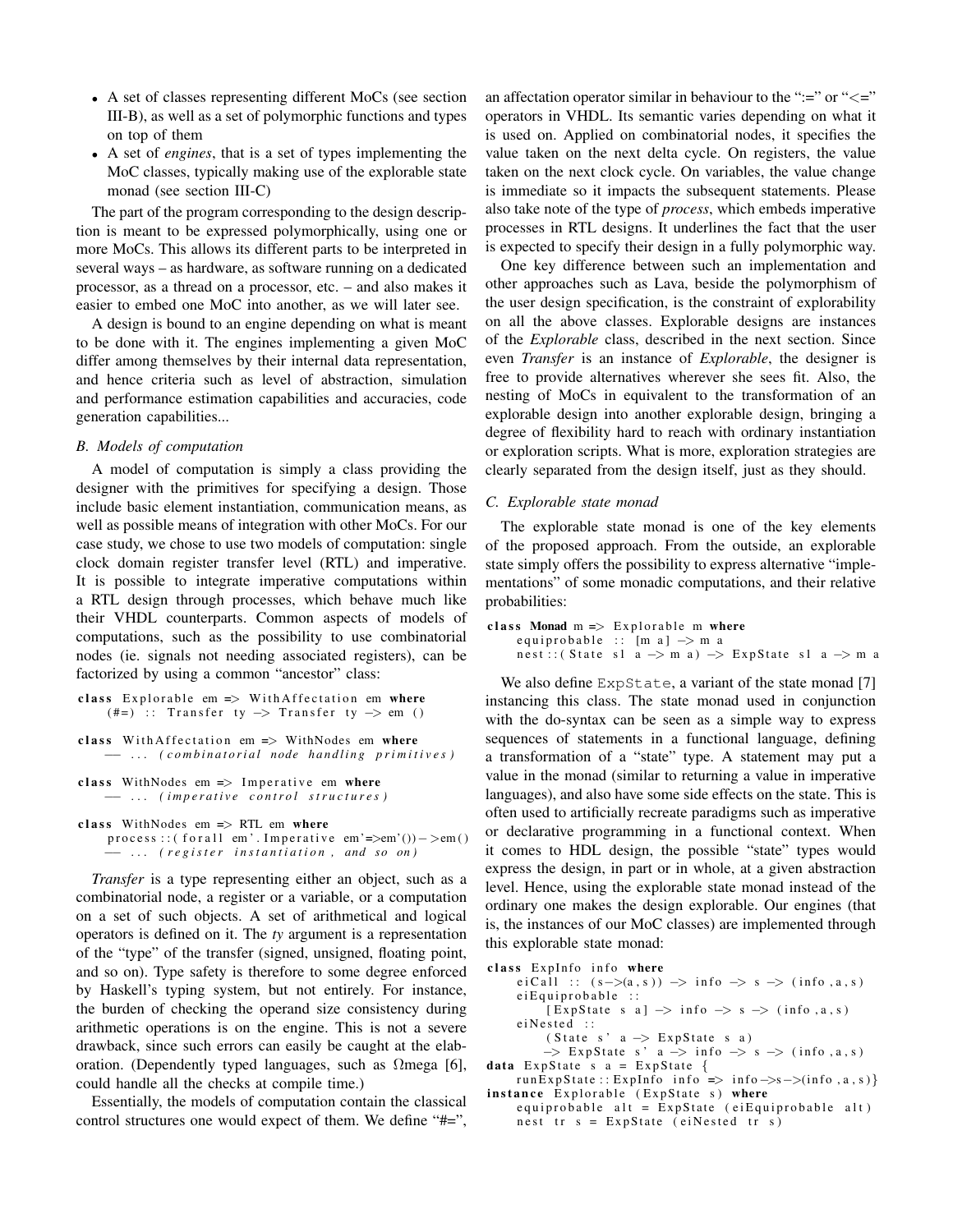- A set of classes representing different MoCs (see section III-B), as well as a set of polymorphic functions and types on top of them
- A set of *engines*, that is a set of types implementing the MoC classes, typically making use of the explorable state monad (see section III-C)

The part of the program corresponding to the design description is meant to be expressed polymorphically, using one or more MoCs. This allows its different parts to be interpreted in several ways – as hardware, as software running on a dedicated processor, as a thread on a processor, etc. – and also makes it easier to embed one MoC into another, as we will later see.

A design is bound to an engine depending on what is meant to be done with it. The engines implementing a given MoC differ among themselves by their internal data representation, and hence criteria such as level of abstraction, simulation and performance estimation capabilities and accuracies, code generation capabilities...

#### *B. Models of computation*

A model of computation is simply a class providing the designer with the primitives for specifying a design. Those include basic element instantiation, communication means, as well as possible means of integration with other MoCs. For our case study, we chose to use two models of computation: single clock domain register transfer level (RTL) and imperative. It is possible to integrate imperative computations within a RTL design through processes, which behave much like their VHDL counterparts. Common aspects of models of computations, such as the possibility to use combinatorial nodes (ie. signals not needing associated registers), can be factorized by using a common "ancestor" class:

```
class Explorable em \Rightarrow With A f f e ctation em where
     (\# =) :: Transfer ty \Rightarrow Transfer ty \Rightarrow em ()
```

```
class WithAffectation em \Rightarrow WithNodes em where
       −− . . . ( c o m b i n a t o r i a l node h a n dli n g p r i m i t i v e s )
```

```
class WithNodes em \Rightarrow Imperative em where
     −− . . . ( i m p e r a t i v e c o n t r o l s t r u c t u r e s )
```

```
class WithNodes em \Rightarrow RTL em where
     process :: (for all em'. Imperative em'=>em'())->em()
       −− . . . ( r e g i s t e r i n s t a n t i a t i o n , and s o on )
```
*Transfer* is a type representing either an object, such as a combinatorial node, a register or a variable, or a computation on a set of such objects. A set of arithmetical and logical operators is defined on it. The *ty* argument is a representation of the "type" of the transfer (signed, unsigned, floating point, and so on). Type safety is therefore to some degree enforced by Haskell's typing system, but not entirely. For instance, the burden of checking the operand size consistency during arithmetic operations is on the engine. This is not a severe drawback, since such errors can easily be caught at the elaboration. (Dependently typed languages, such as  $\Omega$ mega [6], could handle all the checks at compile time.)

Essentially, the models of computation contain the classical control structures one would expect of them. We define "#=", an affectation operator similar in behaviour to the " $:=$ " or " $<=$ " operators in VHDL. Its semantic varies depending on what it is used on. Applied on combinatorial nodes, it specifies the value taken on the next delta cycle. On registers, the value taken on the next clock cycle. On variables, the value change is immediate so it impacts the subsequent statements. Please also take note of the type of *process*, which embeds imperative processes in RTL designs. It underlines the fact that the user is expected to specify their design in a fully polymorphic way.

One key difference between such an implementation and other approaches such as Lava, beside the polymorphism of the user design specification, is the constraint of explorability on all the above classes. Explorable designs are instances of the *Explorable* class, described in the next section. Since even *Transfer* is an instance of *Explorable*, the designer is free to provide alternatives wherever she sees fit. Also, the nesting of MoCs in equivalent to the transformation of an explorable design into another explorable design, bringing a degree of flexibility hard to reach with ordinary instantiation or exploration scripts. What is more, exploration strategies are clearly separated from the design itself, just as they should.

#### *C. Explorable state monad*

The explorable state monad is one of the key elements of the proposed approach. From the outside, an explorable state simply offers the possibility to express alternative "implementations" of some monadic computations, and their relative probabilities:

```
class Monad m \implies Explorable m where
     e qui probable :: [m a] -> m a
     n e st : : ( State s 1 a -> m a ) -> Exp State s 1 a -> m a
```
We also define ExpState, a variant of the state monad [7] instancing this class. The state monad used in conjunction with the do-syntax can be seen as a simple way to express sequences of statements in a functional language, defining a transformation of a "state" type. A statement may put a value in the monad (similar to returning a value in imperative languages), and also have some side effects on the state. This is often used to artificially recreate paradigms such as imperative or declarative programming in a functional context. When it comes to HDL design, the possible "state" types would express the design, in part or in whole, at a given abstraction level. Hence, using the explorable state monad instead of the ordinary one makes the design explorable. Our engines (that is, the instances of our MoC classes) are implemented through this explorable state monad:

```
class ExpInfo info where
      e i Call : (s->(a, s)) \Rightarrow \text{info} \Rightarrow s \Rightarrow (\text{info}, a, s)e i Equi probable ::
            [Express that e \ s \ a] \rightarrow info \rightarrow s \rightarrow (info, a, s)e i Nested ::
            ( State s' a \Rightarrow ExpState s a)\Rightarrow ExpState s' a \Rightarrow info \Rightarrow s \Rightarrow (info, a, s)
data ExpState s a = ExpState {
     runExpState :: ExpInfo info => info ->s->(info, a, s)}
```
instance Explorable (ExpState s) where  $equiprobable$  alt = ExpState (eiEquiprobable alt) n e st tr  $s = ExpState$  (eiNested tr s)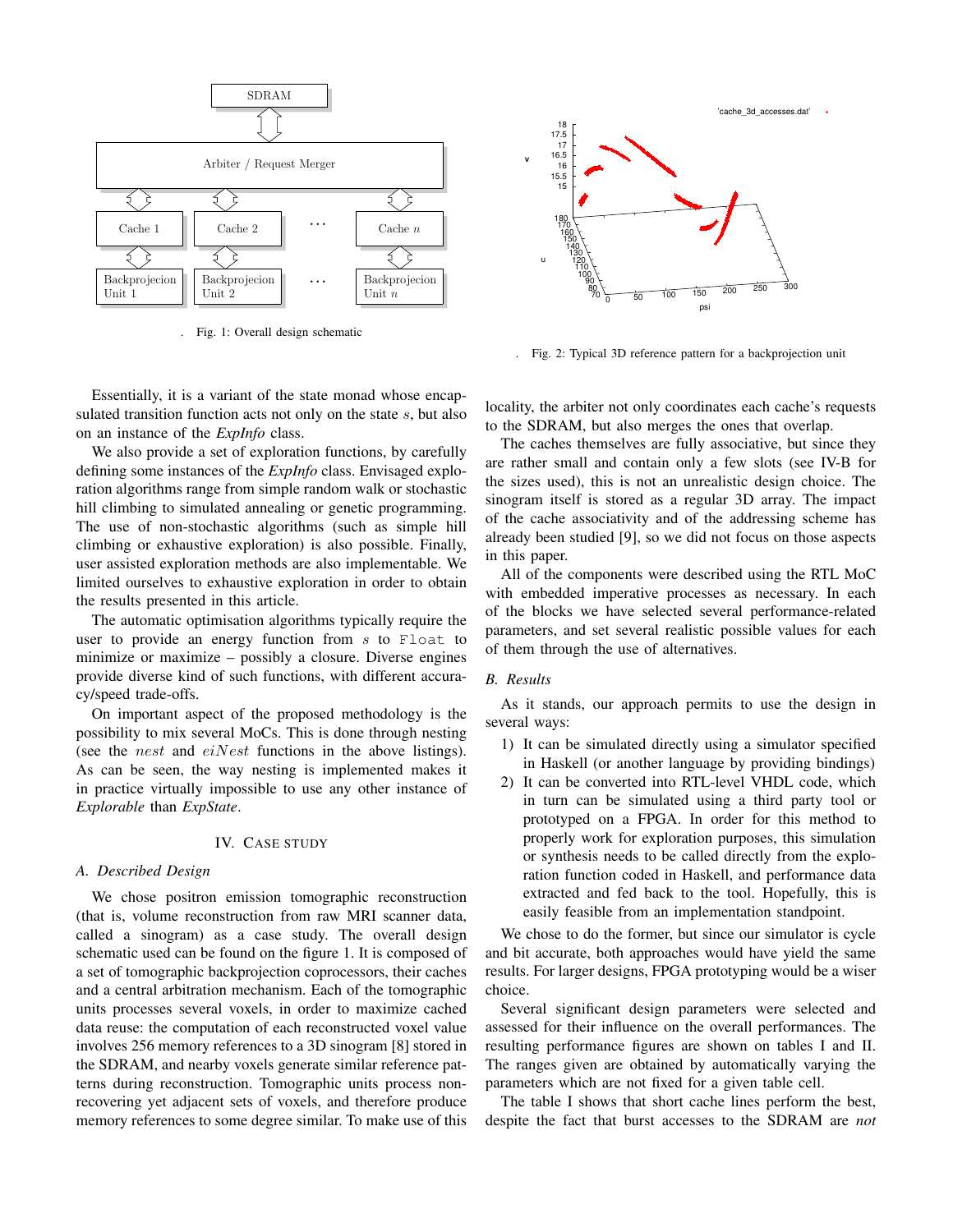

. Fig. 1: Overall design schematic



. Fig. 2: Typical 3D reference pattern for a backprojection unit

Essentially, it is a variant of the state monad whose encapsulated transition function acts not only on the state s, but also on an instance of the *ExpInfo* class.

We also provide a set of exploration functions, by carefully defining some instances of the *ExpInfo* class. Envisaged exploration algorithms range from simple random walk or stochastic hill climbing to simulated annealing or genetic programming. The use of non-stochastic algorithms (such as simple hill climbing or exhaustive exploration) is also possible. Finally, user assisted exploration methods are also implementable. We limited ourselves to exhaustive exploration in order to obtain the results presented in this article.

The automatic optimisation algorithms typically require the user to provide an energy function from  $s$  to  $F$ loat to minimize or maximize – possibly a closure. Diverse engines provide diverse kind of such functions, with different accuracy/speed trade-offs.

On important aspect of the proposed methodology is the possibility to mix several MoCs. This is done through nesting (see the *nest* and  $e$ *iNest* functions in the above listings). As can be seen, the way nesting is implemented makes it in practice virtually impossible to use any other instance of *Explorable* than *ExpState*.

#### IV. CASE STUDY

#### *A. Described Design*

We chose positron emission tomographic reconstruction (that is, volume reconstruction from raw MRI scanner data, called a sinogram) as a case study. The overall design schematic used can be found on the figure 1. It is composed of a set of tomographic backprojection coprocessors, their caches and a central arbitration mechanism. Each of the tomographic units processes several voxels, in order to maximize cached data reuse: the computation of each reconstructed voxel value involves 256 memory references to a 3D sinogram [8] stored in the SDRAM, and nearby voxels generate similar reference patterns during reconstruction. Tomographic units process nonrecovering yet adjacent sets of voxels, and therefore produce memory references to some degree similar. To make use of this

locality, the arbiter not only coordinates each cache's requests to the SDRAM, but also merges the ones that overlap.

The caches themselves are fully associative, but since they are rather small and contain only a few slots (see IV-B for the sizes used), this is not an unrealistic design choice. The sinogram itself is stored as a regular 3D array. The impact of the cache associativity and of the addressing scheme has already been studied [9], so we did not focus on those aspects in this paper.

All of the components were described using the RTL MoC with embedded imperative processes as necessary. In each of the blocks we have selected several performance-related parameters, and set several realistic possible values for each of them through the use of alternatives.

#### *B. Results*

As it stands, our approach permits to use the design in several ways:

- 1) It can be simulated directly using a simulator specified in Haskell (or another language by providing bindings)
- 2) It can be converted into RTL-level VHDL code, which in turn can be simulated using a third party tool or prototyped on a FPGA. In order for this method to properly work for exploration purposes, this simulation or synthesis needs to be called directly from the exploration function coded in Haskell, and performance data extracted and fed back to the tool. Hopefully, this is easily feasible from an implementation standpoint.

We chose to do the former, but since our simulator is cycle and bit accurate, both approaches would have yield the same results. For larger designs, FPGA prototyping would be a wiser choice.

Several significant design parameters were selected and assessed for their influence on the overall performances. The resulting performance figures are shown on tables I and II. The ranges given are obtained by automatically varying the parameters which are not fixed for a given table cell.

The table I shows that short cache lines perform the best, despite the fact that burst accesses to the SDRAM are *not*